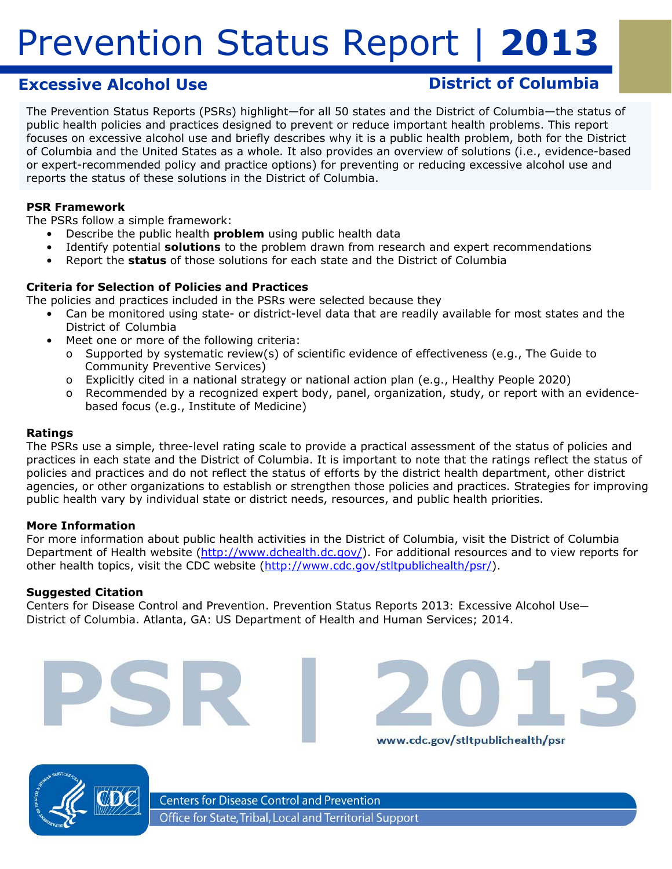# **Excessive Alcohol Use District of Columbia**

www.cdc.gov/stltpublichealth/psr

The Prevention Status Reports (PSRs) highlight—for all 50 states and the District of Columbia—the status of public health policies and practices designed to prevent or reduce important health problems. This report focuses on excessive alcohol use and briefly describes why it is a public health problem, both for the District of Columbia and the United States as a whole. It also provides an overview of solutions (i.e., evidence-based or expert-recommended policy and practice options) for preventing or reducing excessive alcohol use and reports the status of these solutions in the District of Columbia.

## **PSR Framework**

The PSRs follow a simple framework:

- Describe the public health *problem* using public health data
- Identify potential *solutions* to the problem drawn from research and expert recommendations
- • Report the *status* of those solutions for each state and the District of Columbia

### **Criteria for Selection of Policies and Practices**

The policies and practices included in the PSRs were selected because they

- Can be monitored using state- or district-level data that are readily available for most states and the District of Columbia
	- Meet one or more of the following criteria:
		- o Supported by systematic review(s) of scientific evidence of effectiveness (e.g., *The Guide to Community Preventive Services*)
		- o Explicitly cited in a national strategy or national action plan (e.g., *Healthy People 2020*)
		- o Recommended by a recognized expert body, panel, organization, study, or report with an evidencebased focus (e.g., Institute of Medicine)

### **Ratings**

The PSRs use a simple, three-level rating scale to provide a practical assessment of the status of policies and practices in each state and the District of Columbia. It is important to note that the ratings reflect the *status of policies and practices* and do not reflect the *status of efforts* by the district health department, other district agencies, or other organizations to establish or strengthen those policies and practices. Strategies for improving public health vary by individual state or district needs, resources, and public health priorities.

### **More Information**

For more information about public health activities in the District of Columbia, visit the District of Columbia Department of Health website (http://www.dchealth.dc.gov/). For additional resources and to view reports for other health topics, visit the CDC website (http://www.cdc.gov/stltpublichealth/psr/).

### **Suggested Citation**

Centers for Disease Control and Prevention. *Prevention Status Reports 2013: Excessive Alcohol Use— District of Columbia*. Atlanta, GA: US Department of Health and Human Services; 2014.



**Centers for Disease Control and Prevention** Office for State, Tribal, Local and Territorial Support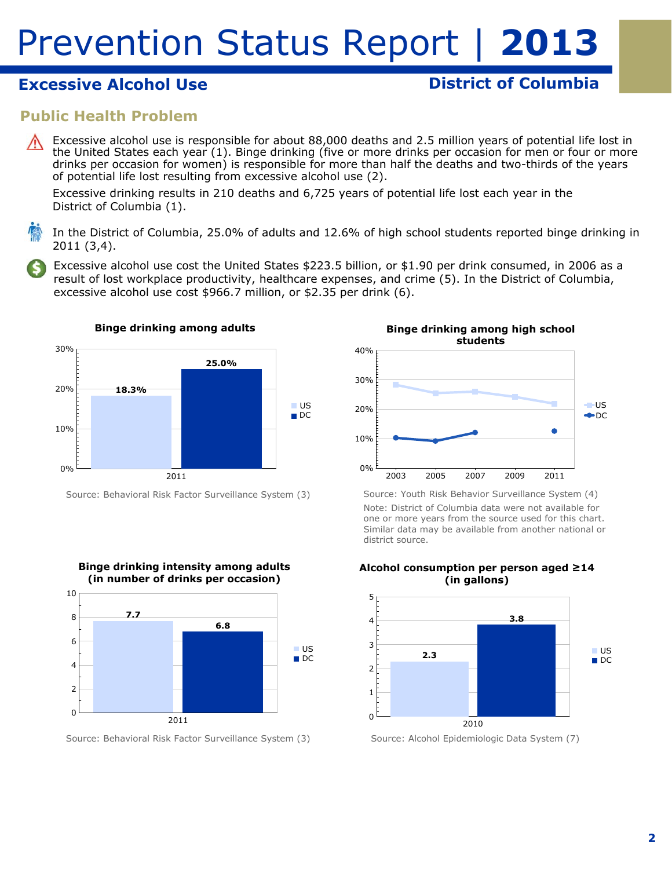# **Excessive Alcohol Use Contract Columbia District of Columbia**

# **Public Health Problem**

Excessive alcohol use is responsible for about 88,000 deaths and 2.5 million years of potential life lost in the United States each year (1). Binge drinking (five or more drinks per occasion for men or four or more drinks per occasion for women) is responsible for more than half the deaths and two-thirds of the years of potential life lost resulting from excessive alcohol use (2).

Excessive drinking results in 210 deaths and 6,725 years of potential life lost each year in the District of Columbia (1).

In the District of Columbia, 25.0% of adults and 12.6% of high school students reported binge drinking in 2011 (3,4).

Excessive alcohol use cost the United States \$223.5 billion, or \$1.90 per drink consumed, in 2006 as a result of lost workplace productivity, healthcare expenses, and crime (5). In the District of Columbia, excessive alcohol use cost \$966.7 million, or \$2.35 per drink (6).



Source: Behavioral Risk Factor Surveillance System (3)



Source: Behavioral Risk Factor Surveillance System (3)



Source: Youth Risk Behavior Surveillance System (4) Note: District of Columbia data were not available for one or more years from the source used for this chart. Similar data may be available from another national or district source.



Source: Alcohol Epidemiologic Data System (7)

# **Alcohol consumption per person aged ≥14**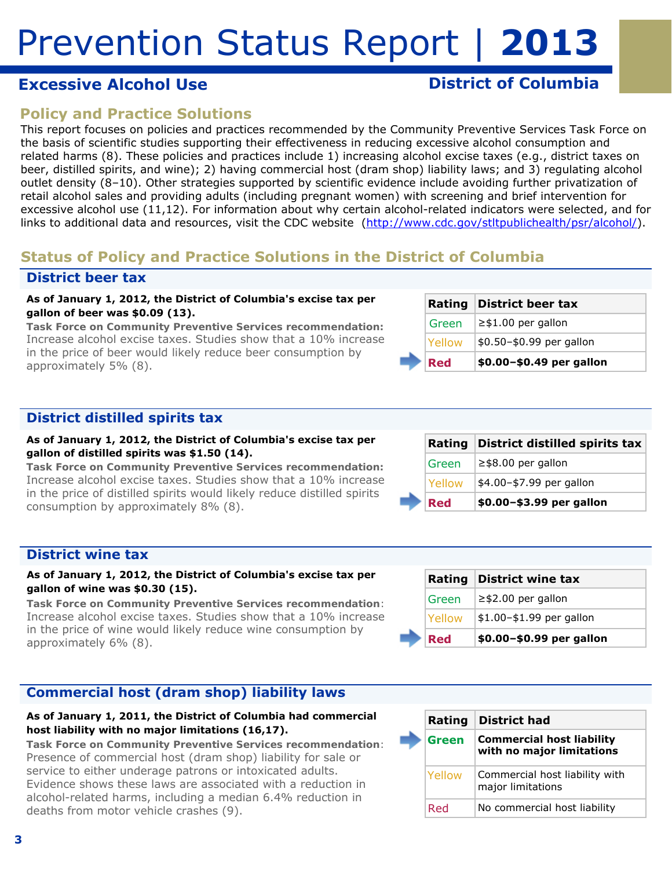# **Excessive Alcohol Use Contract Columbia District of Columbia**

# **Policy and Practice Solutions**

This report focuses on policies and practices recommended by the Community Preventive Services Task Force on the basis of scientific studies supporting their effectiveness in reducing excessive alcohol consumption and related harms (8). These policies and practices include 1) increasing alcohol excise taxes (e.g., district taxes on beer, distilled spirits, and wine); 2) having commercial host (dram shop) liability laws; and 3) regulating alcohol outlet density (8–10). Other strategies supported by scientific evidence include avoiding further privatization of retail alcohol sales and providing adults (including pregnant women) with screening and brief intervention for excessive alcohol use (11,12). For information about why certain alcohol-related indicators were selected, and for links to additional data and resources, visit the CDC website (http://www.cdc.gov/stltpublichealth/psr/alcohol/).

# **Status of Policy and Practice Solutions in the District of Columbia**

## **District beer tax**

#### **As of January 1, 2012, the District of Columbia's excise tax per gallon of beer was \$0.09 (13).**

*Task Force on Community Preventive Services recommendation:*  Increase alcohol excise taxes. Studies show that a 10% increase in the price of beer would likely reduce beer consumption by approximately 5% (8).

|            | Rating District beer tax |
|------------|--------------------------|
| Green      | $\geq$ \$1.00 per gallon |
| Yellow     | \$0.50-\$0.99 per gallon |
| <b>Red</b> | \$0.00-\$0.49 per gallon |

# **District distilled spirits tax**

#### **As of January 1, 2012, the District of Columbia's excise tax per gallon of distilled spirits was \$1.50 (14).**

*Task Force on Community Preventive Services recommendation:*  Increase alcohol excise taxes. Studies show that a 10% increase in the price of distilled spirits would likely reduce distilled spirits consumption by approximately 8% (8).

|  |            | Rating District distilled spirits tax |
|--|------------|---------------------------------------|
|  | Green      | $\ge$ \$8.00 per gallon               |
|  | Yellow     | \$4.00-\$7.99 per gallon              |
|  | <b>Red</b> | \$0.00-\$3.99 per gallon              |

### **District wine tax**

### **As of January 1, 2012, the District of Columbia's excise tax per gallon of wine was \$0.30 (15).**

*Task Force on Community Preventive Services recommendation*: Increase alcohol excise taxes. Studies show that a 10% increase in the price of wine would likely reduce wine consumption by approximately 6% (8).

## **Commercial host (dram shop) liability laws**

#### **As of January 1, 2011, the District of Columbia had commercial host liability with no major limitations (16,17).**

*Task Force on Community Preventive Services recommendation*: Presence of commercial host (dram shop) liability for sale or service to either underage patrons or intoxicated adults. Evidence shows these laws are associated with a reduction in alcohol-related harms, including a median 6.4% reduction in deaths from motor vehicle crashes (9).

| naully | <b>PISUILL WILLE LAA</b> |
|--------|--------------------------|
| Green  | $\ge$ \$2.00 per gallon  |
| Yellow | \$1.00-\$1.99 per gallon |
| Red    | \$0.00-\$0.99 per gallon |

**Rating District wine tax** 

|  | Rating | <b>District had</b>                                           |
|--|--------|---------------------------------------------------------------|
|  | Green  | <b>Commercial host liability</b><br>with no major limitations |
|  | Yellow | Commercial host liability with<br>major limitations           |
|  | Red    | No commercial host liability                                  |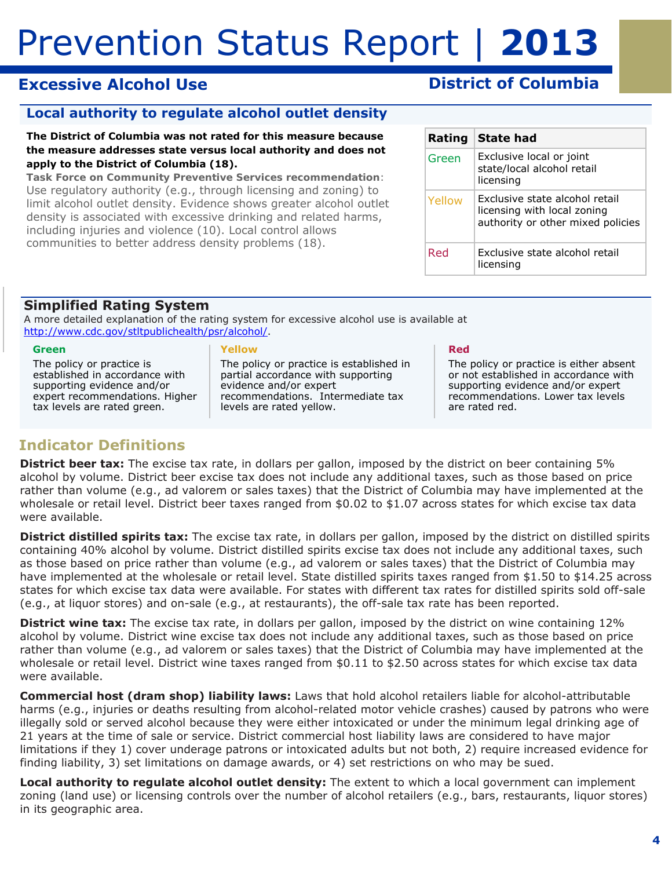# **Excessive Alcohol Use Contract Columbia District of Columbia**

# **Local authority to regulate alcohol outlet density**

**The District of Columbia was not rated for this measure because the measure addresses state versus local authority and does not apply to the District of Columbia (18).** 

*Task Force on Community Preventive Services recommendation*: Use regulatory authority (e.g., through licensing and zoning) to limit alcohol outlet density. Evidence shows greater alcohol outlet density is associated with excessive drinking and related harms, including injuries and violence (10). Local control allows communities to better address density problems (18).

| Rating | <b>State had</b>                                                                                   |
|--------|----------------------------------------------------------------------------------------------------|
| Green  | Exclusive local or joint<br>state/local alcohol retail<br>licensing                                |
| Yellow | Exclusive state alcohol retail<br>licensing with local zoning<br>authority or other mixed policies |
| Red    | Exclusive state alcohol retail<br>licensing                                                        |

## **Simplified Rating System**

A more detailed explanation of the rating system for excessive alcohol use is available at http://www.cdc.gov/stltpublichealth/psr/alcohol/.

#### **Green**

The policy or practice is established in accordance with supporting evidence and/or expert recommendations. Higher tax levels are rated green.

#### **Yellow**

The policy or practice is established in partial accordance with supporting evidence and/or expert recommendations. Intermediate tax levels are rated yellow.

#### **Red**

The policy or practice is either absent or not established in accordance with supporting evidence and/or expert recommendations. Lower tax levels are rated red.

# **Indicator Definitions**

**District beer tax:** The excise tax rate, in dollars per gallon, imposed by the district on beer containing 5% alcohol by volume. District beer excise tax does not include any additional taxes, such as those based on price rather than volume (e.g., ad valorem or sales taxes) that the District of Columbia may have implemented at the wholesale or retail level. District beer taxes ranged from \$0.02 to \$1.07 across states for which excise tax data were available.

**District distilled spirits tax:** The excise tax rate, in dollars per gallon, imposed by the district on distilled spirits containing 40% alcohol by volume. District distilled spirits excise tax does not include any additional taxes, such as those based on price rather than volume (e.g., ad valorem or sales taxes) that the District of Columbia may have implemented at the wholesale or retail level. State distilled spirits taxes ranged from \$1.50 to \$14.25 across states for which excise tax data were available. For states with different tax rates for distilled spirits sold off-sale (e.g., at liquor stores) and on-sale (e.g., at restaurants), the off-sale tax rate has been reported.

 were available. **District wine tax:** The excise tax rate, in dollars per gallon, imposed by the district on wine containing 12% alcohol by volume. District wine excise tax does not include any additional taxes, such as those based on price rather than volume (e.g., ad valorem or sales taxes) that the District of Columbia may have implemented at the wholesale or retail level. District wine taxes ranged from \$0.11 to \$2.50 across states for which excise tax data

**Commercial host (dram shop) liability laws:** Laws that hold alcohol retailers liable for alcohol-attributable harms (e.g., injuries or deaths resulting from alcohol-related motor vehicle crashes) caused by patrons who were illegally sold or served alcohol because they were either intoxicated or under the minimum legal drinking age of 21 years at the time of sale or service. District commercial host liability laws are considered to have major limitations if they 1) cover underage patrons or intoxicated adults but not both, 2) require increased evidence for finding liability, 3) set limitations on damage awards, or 4) set restrictions on who may be sued.

 in its geographic area. **Local authority to regulate alcohol outlet density:** The extent to which a local government can implement zoning (land use) or licensing controls over the number of alcohol retailers (e.g., bars, restaurants, liquor stores)